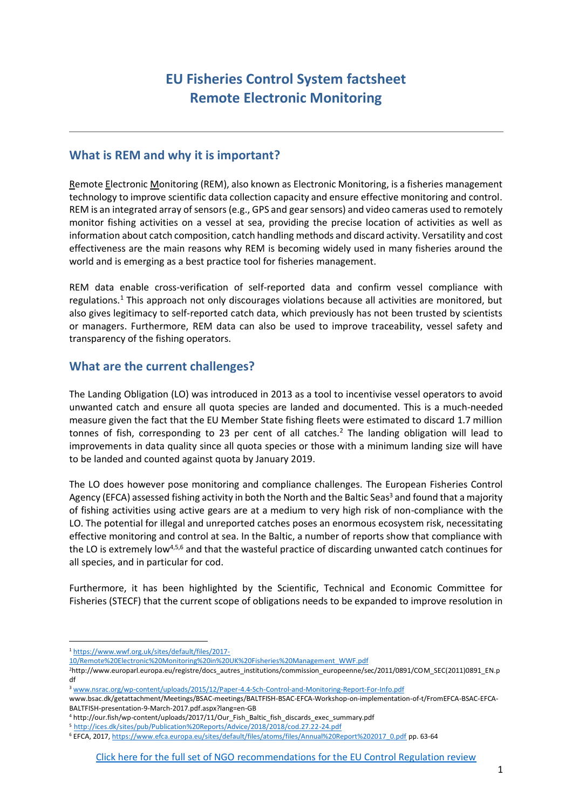# **EU Fisheries Control System factsheet Remote Electronic Monitoring**

## **What is REM and why it is important?**

Remote Electronic Monitoring (REM), also known as Electronic Monitoring, is a fisheries management technology to improve scientific data collection capacity and ensure effective monitoring and control. REM is an integrated array of sensors (e.g., GPS and gear sensors) and video cameras used to remotely monitor fishing activities on a vessel at sea, providing the precise location of activities as well as information about catch composition, catch handling methods and discard activity. Versatility and cost effectiveness are the main reasons why REM is becoming widely used in many fisheries around the world and is emerging as a best practice tool for fisheries management.

REM data enable cross-verification of self-reported data and confirm vessel compliance with regulations.<sup>1</sup> This approach not only discourages violations because all activities are monitored, but also gives legitimacy to self-reported catch data, which previously has not been trusted by scientists or managers. Furthermore, REM data can also be used to improve traceability, vessel safety and transparency of the fishing operators.

# **What are the current challenges?**

The Landing Obligation (LO) was introduced in 2013 as a tool to incentivise vessel operators to avoid unwanted catch and ensure all quota species are landed and documented. This is a much-needed measure given the fact that the EU Member State fishing fleets were estimated to discard 1.7 million tonnes of fish, corresponding to 23 per cent of all catches.<sup>2</sup> The landing obligation will lead to improvements in data quality since all quota species or those with a minimum landing size will have to be landed and counted against quota by January 2019.

The LO does however pose monitoring and compliance challenges. The European Fisheries Control Agency (EFCA) assessed fishing activity in both the North and the Baltic Seas<sup>3</sup> and found that a majority of fishing activities using active gears are at a medium to very high risk of non-compliance with the LO. The potential for illegal and unreported catches poses an enormous ecosystem risk, necessitating effective monitoring and control at sea. In the Baltic, a number of reports show that compliance with the LO is extremely low4,5,6 and that the wasteful practice of discarding unwanted catch continues for all species, and in particular for cod.

Furthermore, it has been highlighted by the Scientific, Technical and Economic Committee for Fisheries (STECF) that the current scope of obligations needs to be expanded to improve resolution in

l

<sup>1</sup> [https://www.wwf.org.uk/sites/default/files/2017-](https://www.wwf.org.uk/sites/default/files/2017-10/Remote%20Electronic%20Monitoring%20in%20UK%20Fisheries%20Management_WWF.pdf)

[<sup>10/</sup>Remote%20Electronic%20Monitoring%20in%20UK%20Fisheries%20Management\\_WWF.pdf](https://www.wwf.org.uk/sites/default/files/2017-10/Remote%20Electronic%20Monitoring%20in%20UK%20Fisheries%20Management_WWF.pdf)

<sup>2</sup>[http://www.europarl.europa.eu/registre/docs\\_autres\\_institutions/commission\\_europeenne/sec/2011/0891/COM\\_SEC\(2011\)0891\\_EN.p](http://www.europarl.europa.eu/registre/docs_autres_institutions/commission_europeenne/sec/2011/0891/COM_SEC(2011)0891_EN.pdf) [df](http://www.europarl.europa.eu/registre/docs_autres_institutions/commission_europeenne/sec/2011/0891/COM_SEC(2011)0891_EN.pdf)

<sup>3</sup> [www.nsrac.org/wp-content/uploads/2015/12/Paper-4.4-Sch-Control-and-Monitoring-Report-For-Info.pdf](http://www.nsrac.org/wp-content/uploads/2015/12/Paper-4.4-Sch-Control-and-Monitoring-Report-For-Info.pdf)

www.bsac.dk/getattachment/Meetings/BSAC-meetings/BALTFISH-BSAC-EFCA-Workshop-on-implementation-of-t/FromEFCA-BSAC-EFCA-BALTFISH-presentation-9-March-2017.pdf.aspx?lang=en-GB

<sup>4</sup> http://our.fish/wp-content/uploads/2017/11/Our\_Fish\_Baltic\_fish\_discards\_exec\_summary.pdf

<sup>5</sup> <http://ices.dk/sites/pub/Publication%20Reports/Advice/2018/2018/cod.27.22-24.pdf>

<sup>6</sup> EFCA, 2017[, https://www.efca.europa.eu/sites/default/files/atoms/files/Annual%20Report%202017\\_0.pdf](https://www.efca.europa.eu/sites/default/files/atoms/files/Annual%20Report%202017_0.pdf) pp. 63-64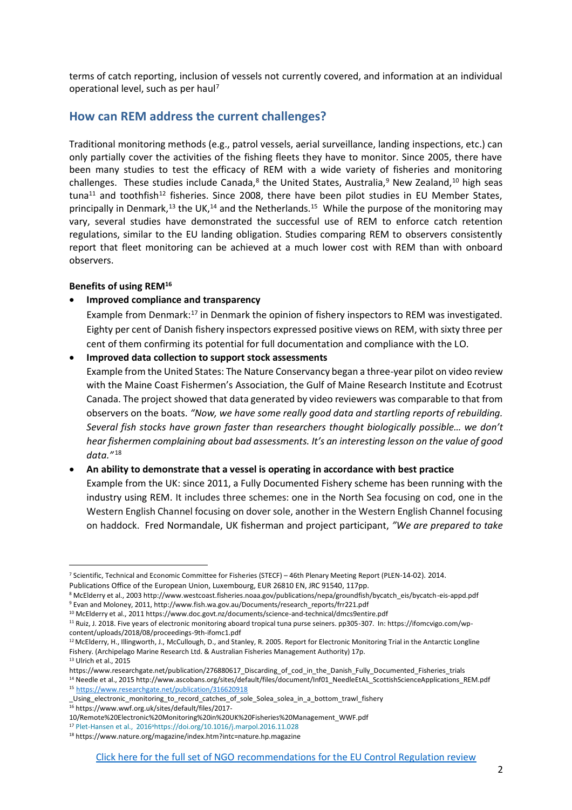terms of catch reporting, inclusion of vessels not currently covered, and information at an individual operational level, such as per haul<sup>7</sup>

## **How can REM address the current challenges?**

Traditional monitoring methods (e.g., patrol vessels, aerial surveillance, landing inspections, etc.) can only partially cover the activities of the fishing fleets they have to monitor. Since 2005, there have been many studies to test the efficacy of REM with a wide variety of fisheries and monitoring challenges. These studies include Canada,<sup>8</sup> the United States, Australia,<sup>9</sup> New Zealand,<sup>10</sup> high seas tuna<sup>11</sup> and toothfish<sup>12</sup> fisheries. Since 2008, there have been pilot studies in EU Member States, principally in Denmark,<sup>13</sup> the UK,<sup>14</sup> and the Netherlands.<sup>15</sup> While the purpose of the monitoring may vary, several studies have demonstrated the successful use of REM to enforce catch retention regulations, similar to the EU landing obligation. Studies comparing REM to observers consistently report that fleet monitoring can be achieved at a much lower cost with REM than with onboard observers.

#### **Benefits of using REM<sup>16</sup>**

 $\overline{a}$ 

#### • **Improved compliance and transparency**

Example from Denmark:<sup>17</sup> in Denmark the opinion of fishery inspectors to REM was investigated. Eighty per cent of Danish fishery inspectors expressed positive views on REM, with sixty three per cent of them confirming its potential for full documentation and compliance with the LO.

• **Improved data collection to support stock assessments**

Example from the United States: The Nature Conservancy began a three-year pilot on video review with the Maine Coast Fishermen's Association, the Gulf of Maine Research Institute and Ecotrust Canada. The project showed that data generated by video reviewers was comparable to that from observers on the boats. *"Now, we have some really good data and startling reports of rebuilding. Several fish stocks have grown faster than researchers thought biologically possible… we don't hear fishermen complaining about bad assessments. It's an interesting lesson on the value of good data."* <sup>18</sup>

#### • **An ability to demonstrate that a vessel is operating in accordance with best practice**

Example from the UK: since 2011, a Fully Documented Fishery scheme has been running with the industry using REM. It includes three schemes: one in the North Sea focusing on cod, one in the Western English Channel focusing on dover sole, another in the Western English Channel focusing on haddock. Fred Normandale, UK fisherman and project participant, *"We are prepared to take* 

<sup>7</sup> Scientific, Technical and Economic Committee for Fisheries (STECF) – 46th Plenary Meeting Report (PLEN-14-02). 2014.

Publications Office of the European Union, Luxembourg, EUR 26810 EN, JRC 91540, 117pp.

<sup>8</sup> McElderry et al., 2003 http://www.westcoast.fisheries.noaa.gov/publications/nepa/groundfish/bycatch\_eis/bycatch-eis-appd.pdf <sup>9</sup> Evan and Moloney, 2011, http://www.fish.wa.gov.au/Documents/research\_reports/frr221.pdf

<sup>10</sup> McElderry et al., 2011 https://www.doc.govt.nz/documents/science-and-technical/dmcs9entire.pdf

<sup>11</sup> Ruiz, J. 2018. Five years of electronic monitoring aboard tropical tuna purse seiners. pp305-307. In: https://ifomcvigo.com/wpcontent/uploads/2018/08/proceedings-9th-ifomc1.pdf

<sup>&</sup>lt;sup>12</sup> McElderry, H., Illingworth, J., McCullough, D., and Stanley, R. 2005. Report for Electronic Monitoring Trial in the Antarctic Longline Fishery. (Archipelago Marine Research Ltd. & Australian Fisheries Management Authority) 17p. <sup>13</sup> Ulrich et al., 2015

https://www.researchgate.net/publication/276880617 Discarding of cod in the Danish Fully Documented Fisheries trials

<sup>&</sup>lt;sup>14</sup> Needle et al., 2015 http://www.ascobans.org/sites/default/files/document/Inf01\_NeedleEtAL\_ScottishScienceApplications\_REM.pdf <sup>15</sup> <https://www.researchgate.net/publication/316620918>

\_Using\_electronic\_monitoring\_to\_record\_catches\_of\_sole\_Solea\_solea\_in\_a\_bottom\_trawl\_fishery <sup>16</sup> https://www.wwf.org.uk/sites/default/files/2017-

<sup>10/</sup>Remote%20Electronic%20Monitoring%20in%20UK%20Fisheries%20Management\_WWF.pdf

<sup>&</sup>lt;sup>17</sup> [Plet-Hansen et al., 2016](https://www.sciencedirect.com/science/article/pii/S0308597X16306030#!)<sup>a</sup><https://doi.org/10.1016/j.marpol.2016.11.028>

<sup>18</sup> https://www.nature.org/magazine/index.htm?intc=nature.hp.magazine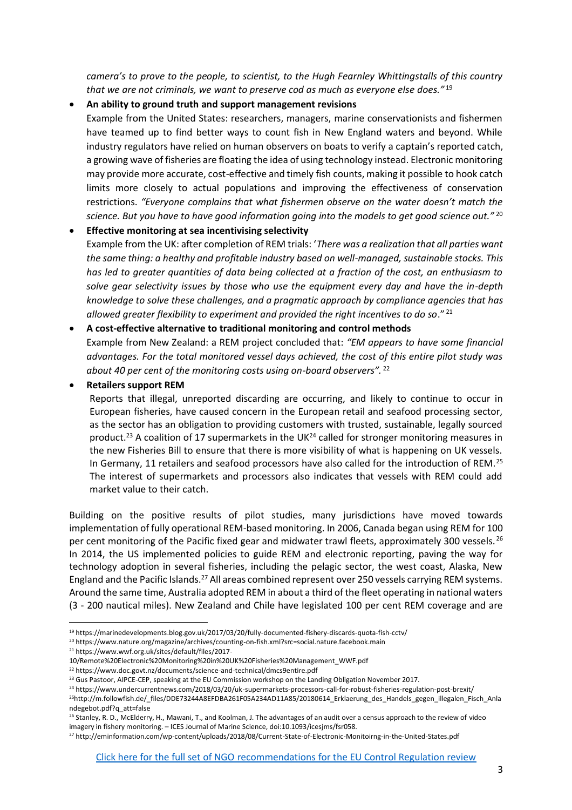*camera's to prove to the people, to scientist, to the Hugh Fearnley Whittingstalls of this country that we are not criminals, we want to preserve cod as much as everyone else does."* <sup>19</sup>

#### • **An ability to ground truth and support management revisions**

Example from the United States: researchers, managers, marine conservationists and fishermen have teamed up to find better ways to count fish in New England waters and beyond. While industry regulators have relied on human observers on boats to verify a captain's reported catch, a growing wave of fisheries are floating the idea of using technology instead. Electronic monitoring may provide more accurate, cost-effective and timely fish counts, making it possible to hook catch limits more closely to actual populations and improving the effectiveness of conservation restrictions. *"Everyone complains that what fishermen observe on the water doesn't match the science. But you have to have good information going into the models to get good science out."* <sup>20</sup>

• **Effective monitoring at sea incentivising selectivity** Example from the UK: after completion of REM trials: '*There was a realization that all parties want the same thing: a healthy and profitable industry based on well-managed, sustainable stocks. This has led to greater quantities of data being collected at a fraction of the cost, an enthusiasm to solve gear selectivity issues by those who use the equipment every day and have the in-depth knowledge to solve these challenges, and a pragmatic approach by compliance agencies that has allowed greater flexibility to experiment and provided the right incentives to do so*." <sup>21</sup>

#### • **A cost-effective alternative to traditional monitoring and control methods**

Example from New Zealand: a REM project concluded that: *"EM appears to have some financial advantages. For the total monitored vessel days achieved, the cost of this entire pilot study was about 40 per cent of the monitoring costs using on-board observers".* <sup>22</sup>

#### • **Retailers support REM**

Reports that illegal, unreported discarding are occurring, and likely to continue to occur in European fisheries, have caused concern in the European retail and seafood processing sector, as the sector has an obligation to providing customers with trusted, sustainable, legally sourced product.<sup>23</sup> A coalition of 17 supermarkets in the UK<sup>24</sup> called for stronger monitoring measures in the new Fisheries Bill to ensure that there is more visibility of what is happening on UK vessels. In Germany, 11 retailers and seafood processors have also called for the introduction of REM.<sup>25</sup> The interest of supermarkets and processors also indicates that vessels with REM could add market value to their catch.

Building on the positive results of pilot studies, many jurisdictions have moved towards implementation of fully operational REM-based monitoring. In 2006, Canada began using REM for 100 per cent monitoring of the Pacific fixed gear and midwater trawl fleets, approximately 300 vessels. <sup>26</sup> In 2014, the US implemented policies to guide REM and electronic reporting, paving the way for technology adoption in several fisheries, including the pelagic sector, the west coast, Alaska, New England and the Pacific Islands.<sup>27</sup> All areas combined represent over 250 vessels carrying REM systems. Around the same time, Australia adopted REM in about a third of the fleet operating in national waters (3 - 200 nautical miles). New Zealand and Chile have legislated 100 per cent REM coverage and are

l

<sup>19</sup> https://marinedevelopments.blog.gov.uk/2017/03/20/fully-documented-fishery-discards-quota-fish-cctv/

<sup>20</sup> https://www.nature.org/magazine/archives/counting-on-fish.xml?src=social.nature.facebook.main

<sup>21</sup> https://www.wwf.org.uk/sites/default/files/2017-

<sup>10/</sup>Remote%20Electronic%20Monitoring%20in%20UK%20Fisheries%20Management\_WWF.pdf

<sup>22</sup> https://www.doc.govt.nz/documents/science-and-technical/dmcs9entire.pdf

<sup>&</sup>lt;sup>23</sup> Gus Pastoor, AIPCE-CEP, speaking at the EU Commission workshop on the Landing Obligation November 2017.

<sup>24</sup> https://www.undercurrentnews.com/2018/03/20/uk-supermarkets-processors-call-for-robust-fisheries-regulation-post-brexit/ <sup>25</sup>http://m.followfish.de/\_files/DDE73244A8EFDBA261F05A234AD11A85/20180614\_Erklaerung\_des\_Handels\_gegen\_illegalen\_Fisch\_Anla ndegebot.pdf?q\_att=false

<sup>&</sup>lt;sup>26</sup> Stanley, R. D., McElderry, H., Mawani, T., and Koolman, J. The advantages of an audit over a census approach to the review of video imagery in fishery monitoring. – ICES Journal of Marine Science, doi:10.1093/icesjms/fsr058.

<sup>27</sup> http://eminformation.com/wp-content/uploads/2018/08/Current-State-of-Electronic-Monitoirng-in-the-United-States.pdf